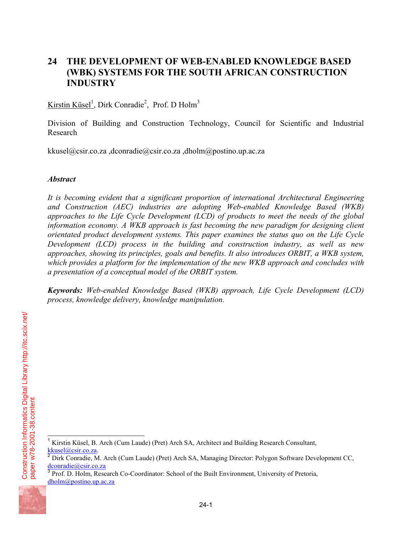# **24 THE DEVELOPMENT OF WEB-ENABLED KNOWLEDGE BASED (WBK) SYSTEMS FOR THE SOUTH AFRICAN CONSTRUCTION INDUSTRY**

Kirstin Küsel<sup>1</sup>, Dirk Conradie<sup>2</sup>, Prof. D Holm<sup>3</sup>

Division of Building and Construction Technology, Council for Scientific and Industrial Research

kkusel@csir.co.za ,dconradie@csir.co.za ,dholm@postino.up.ac.za

## *Abstract*

*It is becoming evident that a significant proportion of international Architectural Engineering and Construction (AEC) industries are adopting Web-enabled Knowledge Based (WKB) approaches to the Life Cycle Development (LCD) of products to meet the needs of the global information economy. A WKB approach is fast becoming the new paradigm for designing client orientated product development systems. This paper examines the status quo on the Life Cycle Development (LCD) process in the building and construction industry, as well as new approaches, showing its principles, goals and benefits. It also introduces ORBIT, a WKB system, which provides a platform for the implementation of the new WKB approach and concludes with a presentation of a conceptual model of the ORBIT system.* 

*Keywords: Web-enabled Knowledge Based (WKB) approach, Life Cycle Development (LCD) process, knowledge delivery, knowledge manipulation.* 

Prof. D. Holm, Research Co-Coordinator: School of the Built Environment, University of Pretoria, dholm@postino.up.ac.za



paper w78-2001-38.content

Construction Informatics Digital Library http://itc.scix.net/

Construction Informatics Digital Library http://itc.scix.net/<br>paper w78-2001-38.content

-

<sup>1</sup> Kirstin Küsel, B. Arch (Cum Laude) (Pret) Arch SA, Architect and Building Research Consultant,

kkusel@csir.co.za.<br>
<sup>2</sup> Dirk Conradie, M. Arch (Cum Laude) (Pret) Arch SA, Managing Director: Polygon Software Development CC, dconradie@csir.co.za<br>
<sup>3</sup> Pref. D. Helm, Passach G. G. C. Helm, G. C. C. C. C. C. C. C. C. C.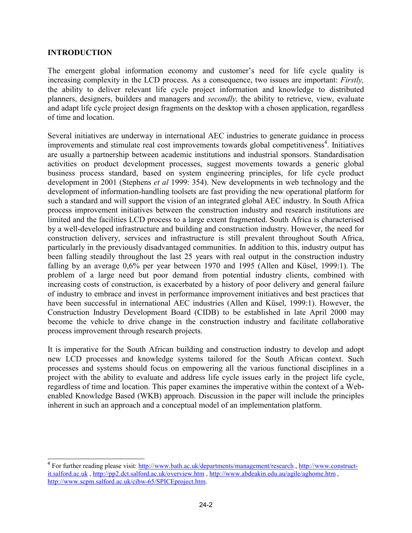#### **INTRODUCTION**

-

The emergent global information economy and customer's need for life cycle quality is increasing complexity in the LCD process. As a consequence, two issues are important: *Firstly,*  the ability to deliver relevant life cycle project information and knowledge to distributed planners, designers, builders and managers and *secondly,* the ability to retrieve, view, evaluate and adapt life cycle project design fragments on the desktop with a chosen application, regardless of time and location.

Several initiatives are underway in international AEC industries to generate guidance in process improvements and stimulate real cost improvements towards global competitiveness<sup>4</sup>. Initiatives are usually a partnership between academic institutions and industrial sponsors. Standardisation activities on product development processes, suggest movements towards a generic global business process standard, based on system engineering principles, for life cycle product development in 2001 (Stephens *et al* 1999: 354). New developments in web technology and the development of information-handling toolsets are fast providing the new operational platform for such a standard and will support the vision of an integrated global AEC industry. In South Africa process improvement initiatives between the construction industry and research institutions are limited and the facilities LCD process to a large extent fragmented. South Africa is characterised by a well-developed infrastructure and building and construction industry. However, the need for construction delivery, services and infrastructure is still prevalent throughout South Africa, particularly in the previously disadvantaged communities. In addition to this, industry output has been falling steadily throughout the last 25 years with real output in the construction industry falling by an average 0,6% per year between 1970 and 1995 (Allen and Küsel, 1999:1). The problem of a large need but poor demand from potential industry clients, combined with increasing costs of construction, is exacerbated by a history of poor delivery and general failure of industry to embrace and invest in performance improvement initiatives and best practices that have been successful in international AEC industries (Allen and Küsel, 1999:1). However, the Construction Industry Development Board (CIDB) to be established in late April 2000 may become the vehicle to drive change in the construction industry and facilitate collaborative process improvement through research projects.

It is imperative for the South African building and construction industry to develop and adopt new LCD processes and knowledge systems tailored for the South African context. Such processes and systems should focus on empowering all the various functional disciplines in a project with the ability to evaluate and address life cycle issues early in the project life cycle, regardless of time and location. This paper examines the imperative within the context of a Webenabled Knowledge Based (WKB) approach. Discussion in the paper will include the principles inherent in such an approach and a conceptual model of an implementation platform.

<sup>&</sup>lt;sup>4</sup> For further reading please visit: http://www.bath.ac.uk/departments/management/research, http://www.constructit.salford.ac.uk, http://pp2.dct.salford.ac.uk/overview.htm, http://www.abdeakin.edu.au/agile/aghome.htm, http://www.scpm.salford.ac.uk/cibw-65/SPICEproject.htm.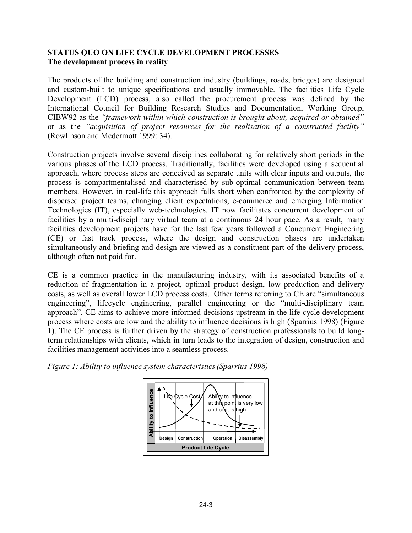## **STATUS QUO ON LIFE CYCLE DEVELOPMENT PROCESSES The development process in reality**

The products of the building and construction industry (buildings, roads, bridges) are designed and custom-built to unique specifications and usually immovable. The facilities Life Cycle Development (LCD) process, also called the procurement process was defined by the International Council for Building Research Studies and Documentation, Working Group, CIBW92 as the *"framework within which construction is brought about, acquired or obtained"*  or as the *"acquisition of project resources for the realisation of a constructed facility"* (Rowlinson and Mcdermott 1999: 34).

Construction projects involve several disciplines collaborating for relatively short periods in the various phases of the LCD process. Traditionally, facilities were developed using a sequential approach, where process steps are conceived as separate units with clear inputs and outputs, the process is compartmentalised and characterised by sub-optimal communication between team members. However, in real-life this approach falls short when confronted by the complexity of dispersed project teams, changing client expectations, e-commerce and emerging Information Technologies (IT), especially web-technologies. IT now facilitates concurrent development of facilities by a multi-disciplinary virtual team at a continuous 24 hour pace. As a result, many facilities development projects have for the last few years followed a Concurrent Engineering (CE) or fast track process, where the design and construction phases are undertaken simultaneously and briefing and design are viewed as a constituent part of the delivery process, although often not paid for.

CE is a common practice in the manufacturing industry, with its associated benefits of a reduction of fragmentation in a project, optimal product design, low production and delivery costs, as well as overall lower LCD process costs. Other terms referring to CE are "simultaneous engineering", lifecycle engineering, parallel engineering or the "multi-disciplinary team approach". CE aims to achieve more informed decisions upstream in the life cycle development process where costs are low and the ability to influence decisions is high (Sparrius 1998) (Figure 1). The CE process is further driven by the strategy of construction professionals to build longterm relationships with clients, which in turn leads to the integration of design, construction and facilities management activities into a seamless process.



*Figure 1: Ability to influence system characteristics(Sparrius 1998)*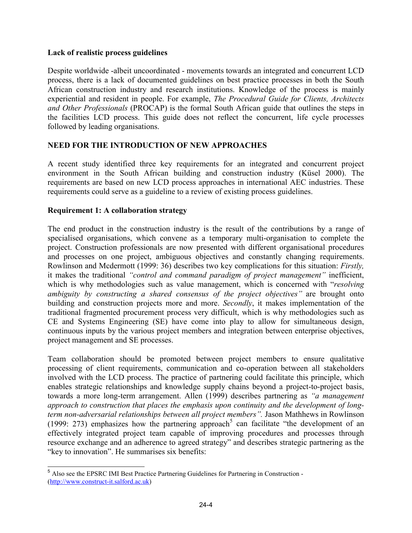### **Lack of realistic process guidelines**

Despite worldwide -albeit uncoordinated - movements towards an integrated and concurrent LCD process, there is a lack of documented guidelines on best practice processes in both the South African construction industry and research institutions. Knowledge of the process is mainly experiential and resident in people. For example, *The Procedural Guide for Clients, Architects and Other Professionals* (PROCAP) is the formal South African guide that outlines the steps in the facilities LCD process. This guide does not reflect the concurrent, life cycle processes followed by leading organisations.

## **NEED FOR THE INTRODUCTION OF NEW APPROACHES**

A recent study identified three key requirements for an integrated and concurrent project environment in the South African building and construction industry (Küsel 2000). The requirements are based on new LCD process approaches in international AEC industries. These requirements could serve as a guideline to a review of existing process guidelines.

## **Requirement 1: A collaboration strategy**

The end product in the construction industry is the result of the contributions by a range of specialised organisations, which convene as a temporary multi-organisation to complete the project. Construction professionals are now presented with different organisational procedures and processes on one project, ambiguous objectives and constantly changing requirements. Rowlinson and Mcdermott (1999: 36) describes two key complications for this situation: *Firstly,*  it makes the traditional *"control and command paradigm of project management"* inefficient, which is why methodologies such as value management, which is concerned with "*resolving ambiguity by constructing a shared consensus of the project objectives"* are brought onto building and construction projects more and more. *Secondly*, it makes implementation of the traditional fragmented procurement process very difficult, which is why methodologies such as CE and Systems Engineering (SE) have come into play to allow for simultaneous design, continuous inputs by the various project members and integration between enterprise objectives, project management and SE processes.

Team collaboration should be promoted between project members to ensure qualitative processing of client requirements, communication and co-operation between all stakeholders involved with the LCD process. The practice of partnering could facilitate this principle, which enables strategic relationships and knowledge supply chains beyond a project-to-project basis, towards a more long-term arrangement. Allen (1999) describes partnering as *"a management approach to construction that places the emphasis upon continuity and the development of longterm non-adversarial relationships between all project members".* Jason Mathhews in Rowlinson (1999: 273) emphasizes how the partnering approach<sup>5</sup> can facilitate "the development of an effectively integrated project team capable of improving procedures and processes through resource exchange and an adherence to agreed strategy" and describes strategic partnering as the "key to innovation". He summarises six benefits:

<sup>-</sup><sup>5</sup> Also see the EPSRC IMI Best Practice Partnering Guidelines for Partnering in Construction -(http://www.construct-it.salford.ac.uk)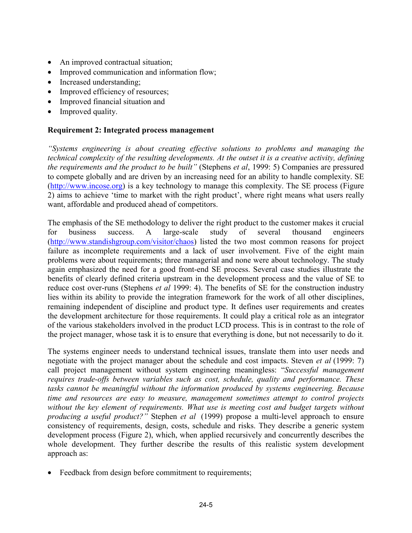- An improved contractual situation;
- Improved communication and information flow;
- Increased understanding;
- Improved efficiency of resources;
- Improved financial situation and
- Improved quality.

### **Requirement 2: Integrated process management**

*"Systems engineering is about creating effective solutions to problems and managing the technical complexity of the resulting developments. At the outset it is a creative activity, defining the requirements and the product to be built"* (Stephens *et al*, 1999: 5) Companies are pressured to compete globally and are driven by an increasing need for an ability to handle complexity. SE (http://www.incose.org) is a key technology to manage this complexity. The SE process (Figure 2) aims to achieve 'time to market with the right product', where right means what users really want, affordable and produced ahead of competitors.

The emphasis of the SE methodology to deliver the right product to the customer makes it crucial for business success. A large-scale study of several thousand engineers (http://www.standishgroup.com/visitor/chaos) listed the two most common reasons for project failure as incomplete requirements and a lack of user involvement. Five of the eight main problems were about requirements; three managerial and none were about technology. The study again emphasized the need for a good front-end SE process. Several case studies illustrate the benefits of clearly defined criteria upstream in the development process and the value of SE to reduce cost over-runs (Stephens *et al* 1999: 4). The benefits of SE for the construction industry lies within its ability to provide the integration framework for the work of all other disciplines, remaining independent of discipline and product type. It defines user requirements and creates the development architecture for those requirements. It could play a critical role as an integrator of the various stakeholders involved in the product LCD process. This is in contrast to the role of the project manager, whose task it is to ensure that everything is done, but not necessarily to do it.

The systems engineer needs to understand technical issues, translate them into user needs and negotiate with the project manager about the schedule and cost impacts. Steven *et al* (1999: 7) call project management without system engineering meaningless: "*Successful management requires trade-offs between variables such as cost, schedule, quality and performance. These tasks cannot be meaningful without the information produced by systems engineering. Because time and resources are easy to measure, management sometimes attempt to control projects without the key element of requirements. What use is meeting cost and budget targets without producing a useful product?"* Stephen *et al* (1999) propose a multi-level approach to ensure consistency of requirements, design, costs, schedule and risks. They describe a generic system development process (Figure 2), which, when applied recursively and concurrently describes the whole development. They further describe the results of this realistic system development approach as:

Feedback from design before commitment to requirements;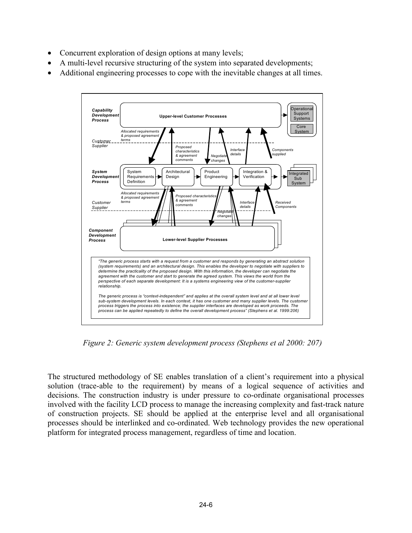- Concurrent exploration of design options at many levels;
- A multi-level recursive structuring of the system into separated developments;
- Additional engineering processes to cope with the inevitable changes at all times.



*Figure 2: Generic system development process (Stephens et al 2000: 207)* 

The structured methodology of SE enables translation of a client's requirement into a physical solution (trace-able to the requirement) by means of a logical sequence of activities and decisions. The construction industry is under pressure to co-ordinate organisational processes involved with the facility LCD process to manage the increasing complexity and fast-track nature of construction projects. SE should be applied at the enterprise level and all organisational processes should be interlinked and co-ordinated. Web technology provides the new operational platform for integrated process management, regardless of time and location.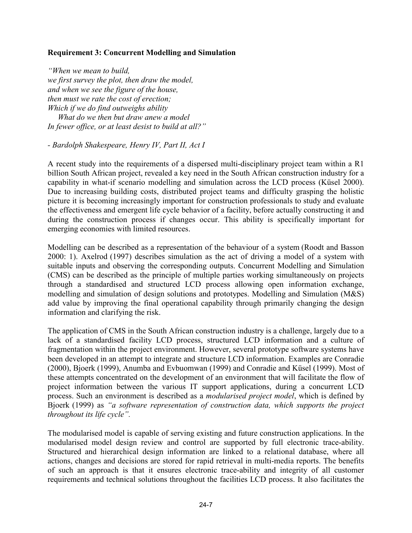#### **Requirement 3: Concurrent Modelling and Simulation**

*"When we mean to build, we first survey the plot, then draw the model, and when we see the figure of the house, then must we rate the cost of erection; Which if we do find outweighs ability What do we then but draw anew a model In fewer office, or at least desist to build at all?"* 

*- Bardolph Shakespeare, Henry IV, Part II, Act I* 

A recent study into the requirements of a dispersed multi-disciplinary project team within a R1 billion South African project, revealed a key need in the South African construction industry for a capability in what-if scenario modelling and simulation across the LCD process (Küsel 2000). Due to increasing building costs, distributed project teams and difficulty grasping the holistic picture it is becoming increasingly important for construction professionals to study and evaluate the effectiveness and emergent life cycle behavior of a facility, before actually constructing it and during the construction process if changes occur. This ability is specifically important for emerging economies with limited resources.

Modelling can be described as a representation of the behaviour of a system (Roodt and Basson 2000: 1). Axelrod (1997) describes simulation as the act of driving a model of a system with suitable inputs and observing the corresponding outputs. Concurrent Modelling and Simulation (CMS) can be described as the principle of multiple parties working simultaneously on projects through a standardised and structured LCD process allowing open information exchange, modelling and simulation of design solutions and prototypes. Modelling and Simulation (M&S) add value by improving the final operational capability through primarily changing the design information and clarifying the risk.

The application of CMS in the South African construction industry is a challenge, largely due to a lack of a standardised facility LCD process, structured LCD information and a culture of fragmentation within the project environment. However, several prototype software systems have been developed in an attempt to integrate and structure LCD information. Examples are Conradie (2000), Bjoerk (1999), Anumba and Evbuomwan (1999) and Conradie and Küsel (1999). Most of these attempts concentrated on the development of an environment that will facilitate the flow of project information between the various IT support applications, during a concurrent LCD process. Such an environment is described as a *modularised project model*, which is defined by Bjoerk (1999) as *"a software representation of construction data, which supports the project throughout its life cycle".* 

The modularised model is capable of serving existing and future construction applications. In the modularised model design review and control are supported by full electronic trace-ability. Structured and hierarchical design information are linked to a relational database, where all actions, changes and decisions are stored for rapid retrieval in multi-media reports. The benefits of such an approach is that it ensures electronic trace-ability and integrity of all customer requirements and technical solutions throughout the facilities LCD process. It also facilitates the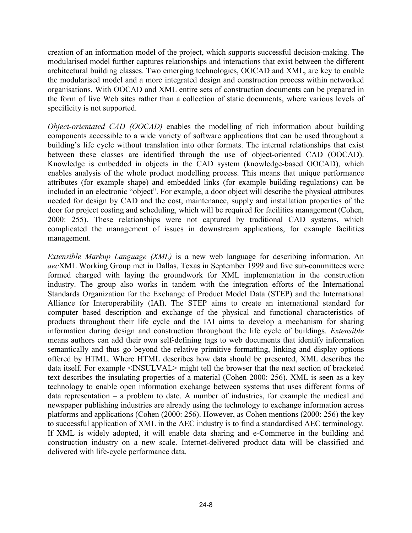creation of an information model of the project, which supports successful decision-making. The modularised model further captures relationships and interactions that exist between the different architectural building classes. Two emerging technologies, OOCAD and XML, are key to enable the modularised model and a more integrated design and construction process within networked organisations. With OOCAD and XML entire sets of construction documents can be prepared in the form of live Web sites rather than a collection of static documents, where various levels of specificity is not supported.

*Object-orientated CAD (OOCAD)* enables the modelling of rich information about building components accessible to a wide variety of software applications that can be used throughout a building's life cycle without translation into other formats. The internal relationships that exist between these classes are identified through the use of object-oriented CAD (OOCAD). Knowledge is embedded in objects in the CAD system (knowledge-based OOCAD), which enables analysis of the whole product modelling process. This means that unique performance attributes (for example shape) and embedded links (for example building regulations) can be included in an electronic "object". For example, a door object will describe the physical attributes needed for design by CAD and the cost, maintenance, supply and installation properties of the door for project costing and scheduling, which will be required for facilities management (Cohen, 2000: 255). These relationships were not captured by traditional CAD systems, which complicated the management of issues in downstream applications, for example facilities management.

*Extensible Markup Language (XML)* is a new web language for describing information. An *aec*XML Working Group met in Dallas, Texas in September 1999 and five sub-committees were formed charged with laying the groundwork for XML implementation in the construction industry. The group also works in tandem with the integration efforts of the International Standards Organization for the Exchange of Product Model Data (STEP) and the International Alliance for Interoperability (IAI). The STEP aims to create an international standard for computer based description and exchange of the physical and functional characteristics of products throughout their life cycle and the IAI aims to develop a mechanism for sharing information during design and construction throughout the life cycle of buildings. *Extensible* means authors can add their own self-defining tags to web documents that identify information semantically and thus go beyond the relative primitive formatting, linking and display options offered by HTML. Where HTML describes how data should be presented, XML describes the data itself. For example <INSULVAL> might tell the browser that the next section of bracketed text describes the insulating properties of a material (Cohen 2000: 256). XML is seen as a key technology to enable open information exchange between systems that uses different forms of data representation – a problem to date. A number of industries, for example the medical and newspaper publishing industries are already using the technology to exchange information across platforms and applications (Cohen (2000: 256). However, as Cohen mentions (2000: 256) the key to successful application of XML in the AEC industry is to find a standardised AEC terminology. If XML is widely adopted, it will enable data sharing and e-Commerce in the building and construction industry on a new scale. Internet-delivered product data will be classified and delivered with life-cycle performance data.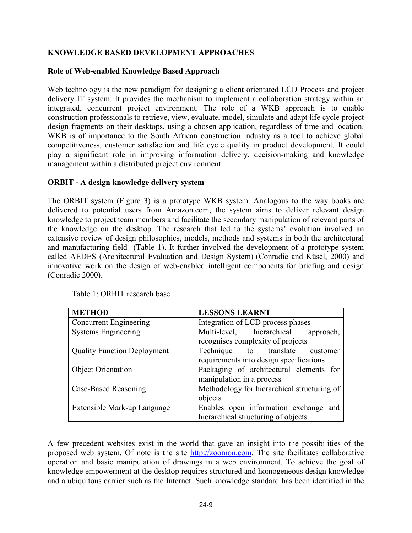## **KNOWLEDGE BASED DEVELOPMENT APPROACHES**

### **Role of Web-enabled Knowledge Based Approach**

Web technology is the new paradigm for designing a client orientated LCD Process and project delivery IT system. It provides the mechanism to implement a collaboration strategy within an integrated, concurrent project environment. The role of a WKB approach is to enable construction professionals to retrieve, view, evaluate, model, simulate and adapt life cycle project design fragments on their desktops, using a chosen application, regardless of time and location. WKB is of importance to the South African construction industry as a tool to achieve global competitiveness, customer satisfaction and life cycle quality in product development. It could play a significant role in improving information delivery, decision-making and knowledge management within a distributed project environment.

### **ORBIT - A design knowledge delivery system**

The ORBIT system (Figure 3) is a prototype WKB system. Analogous to the way books are delivered to potential users from Amazon.com, the system aims to deliver relevant design knowledge to project team members and facilitate the secondary manipulation of relevant parts of the knowledge on the desktop. The research that led to the systems' evolution involved an extensive review of design philosophies, models, methods and systems in both the architectural and manufacturing field (Table 1). It further involved the development of a prototype system called AEDES (Architectural Evaluation and Design System) (Conradie and Küsel, 2000) and innovative work on the design of web-enabled intelligent components for briefing and design (Conradie 2000).

| <b>METHOD</b>                      | <b>LESSONS LEARNT</b>                       |
|------------------------------------|---------------------------------------------|
| <b>Concurrent Engineering</b>      | Integration of LCD process phases           |
| <b>Systems Engineering</b>         | Multi-level, hierarchical<br>approach,      |
|                                    | recognises complexity of projects           |
| <b>Quality Function Deployment</b> | Technique to translate<br>customer          |
|                                    | requirements into design specifications     |
| <b>Object Orientation</b>          | Packaging of architectural elements for     |
|                                    | manipulation in a process                   |
| Case-Based Reasoning               | Methodology for hierarchical structuring of |
|                                    | objects                                     |
| Extensible Mark-up Language        | Enables open information exchange and       |
|                                    | hierarchical structuring of objects.        |

Table 1: ORBIT research base

A few precedent websites exist in the world that gave an insight into the possibilities of the proposed web system. Of note is the site http://zoomon.com. The site facilitates collaborative operation and basic manipulation of drawings in a web environment. To achieve the goal of knowledge empowerment at the desktop requires structured and homogeneous design knowledge and a ubiquitous carrier such as the Internet. Such knowledge standard has been identified in the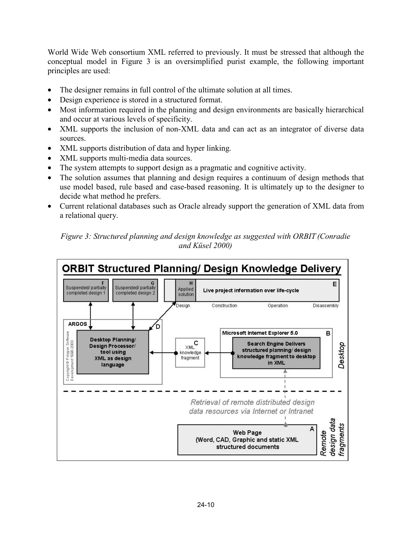World Wide Web consortium XML referred to previously. It must be stressed that although the conceptual model in Figure 3 is an oversimplified purist example, the following important principles are used:

- The designer remains in full control of the ultimate solution at all times.
- Design experience is stored in a structured format.
- Most information required in the planning and design environments are basically hierarchical and occur at various levels of specificity.
- XML supports the inclusion of non-XML data and can act as an integrator of diverse data sources.
- XML supports distribution of data and hyper linking.
- XML supports multi-media data sources.
- The system attempts to support design as a pragmatic and cognitive activity.
- The solution assumes that planning and design requires a continuum of design methods that use model based, rule based and case-based reasoning. It is ultimately up to the designer to decide what method he prefers.
- Current relational databases such as Oracle already support the generation of XML data from a relational query.

*Figure 3: Structured planning and design knowledge as suggested with ORBIT (Conradie and Küsel 2000)* 

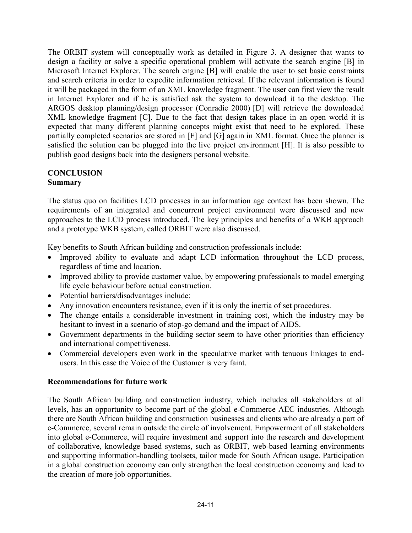The ORBIT system will conceptually work as detailed in Figure 3. A designer that wants to design a facility or solve a specific operational problem will activate the search engine [B] in Microsoft Internet Explorer. The search engine [B] will enable the user to set basic constraints and search criteria in order to expedite information retrieval. If the relevant information is found it will be packaged in the form of an XML knowledge fragment. The user can first view the result in Internet Explorer and if he is satisfied ask the system to download it to the desktop. The ARGOS desktop planning/design processor (Conradie 2000) [D] will retrieve the downloaded XML knowledge fragment [C]. Due to the fact that design takes place in an open world it is expected that many different planning concepts might exist that need to be explored. These partially completed scenarios are stored in [F] and [G] again in XML format. Once the planner is satisfied the solution can be plugged into the live project environment [H]. It is also possible to publish good designs back into the designers personal website.

### **CONCLUSION Summary**

The status quo on facilities LCD processes in an information age context has been shown. The requirements of an integrated and concurrent project environment were discussed and new approaches to the LCD process introduced. The key principles and benefits of a WKB approach and a prototype WKB system, called ORBIT were also discussed.

Key benefits to South African building and construction professionals include:

- Improved ability to evaluate and adapt LCD information throughout the LCD process, regardless of time and location.
- Improved ability to provide customer value, by empowering professionals to model emerging life cycle behaviour before actual construction.
- Potential barriers/disadvantages include:
- Any innovation encounters resistance, even if it is only the inertia of set procedures.
- The change entails a considerable investment in training cost, which the industry may be hesitant to invest in a scenario of stop-go demand and the impact of AIDS.
- Government departments in the building sector seem to have other priorities than efficiency and international competitiveness.
- Commercial developers even work in the speculative market with tenuous linkages to endusers. In this case the Voice of the Customer is very faint.

## **Recommendations for future work**

The South African building and construction industry, which includes all stakeholders at all levels, has an opportunity to become part of the global e-Commerce AEC industries. Although there are South African building and construction businesses and clients who are already a part of e-Commerce, several remain outside the circle of involvement. Empowerment of all stakeholders into global e-Commerce, will require investment and support into the research and development of collaborative, knowledge based systems, such as ORBIT, web-based learning environments and supporting information-handling toolsets, tailor made for South African usage. Participation in a global construction economy can only strengthen the local construction economy and lead to the creation of more job opportunities.